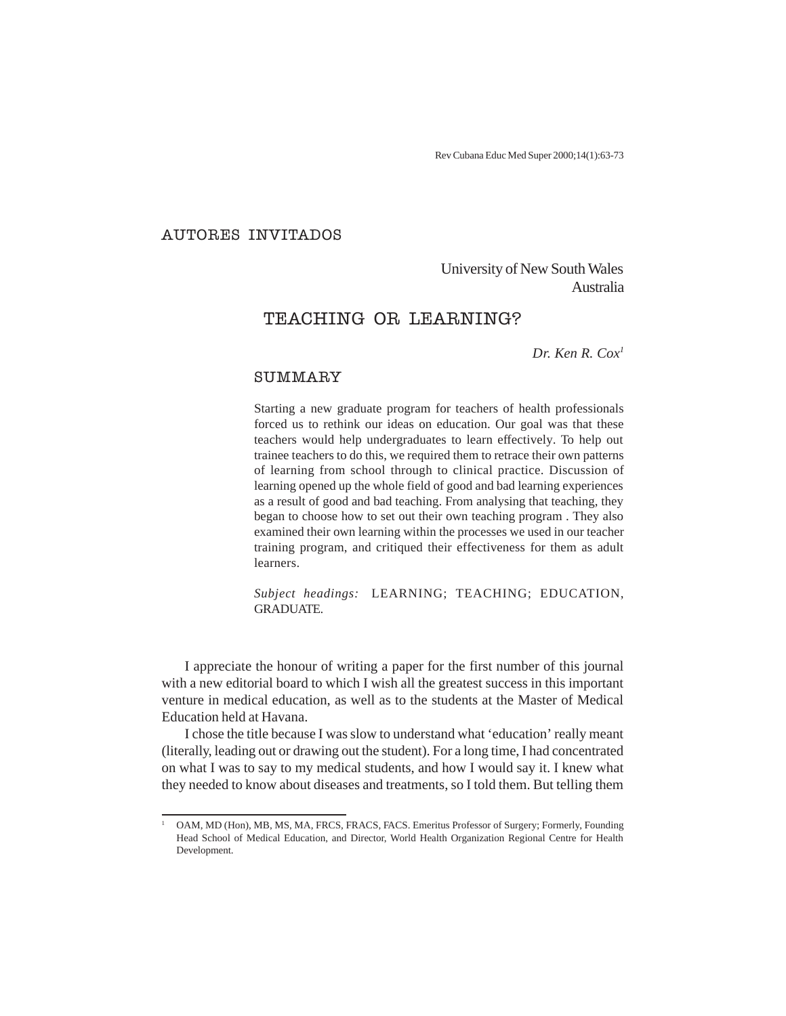Rev Cubana Educ Med Super 2000;14(1):63-73

## AUTORES INVITADOS

University of New South Wales Australia

# TEACHING OR LEARNING?

*Dr. Ken R. Cox1*

# **SUMMARY**

Starting a new graduate program for teachers of health professionals forced us to rethink our ideas on education. Our goal was that these teachers would help undergraduates to learn effectively. To help out trainee teachers to do this, we required them to retrace their own patterns of learning from school through to clinical practice. Discussion of learning opened up the whole field of good and bad learning experiences as a result of good and bad teaching. From analysing that teaching, they began to choose how to set out their own teaching program . They also examined their own learning within the processes we used in our teacher training program, and critiqued their effectiveness for them as adult learners.

*Subject headings:* LEARNING; TEACHING; EDUCATION, GRADUATE.

I appreciate the honour of writing a paper for the first number of this journal with a new editorial board to which I wish all the greatest success in this important venture in medical education, as well as to the students at the Master of Medical Education held at Havana.

I chose the title because I was slow to understand what 'education' really meant (literally, leading out or drawing out the student). For a long time, I had concentrated on what I was to say to my medical students, and how I would say it. I knew what they needed to know about diseases and treatments, so I told them. But telling them

<sup>1</sup> OAM, MD (Hon), MB, MS, MA, FRCS, FRACS, FACS. Emeritus Professor of Surgery; Formerly, Founding Head School of Medical Education, and Director, World Health Organization Regional Centre for Health Development.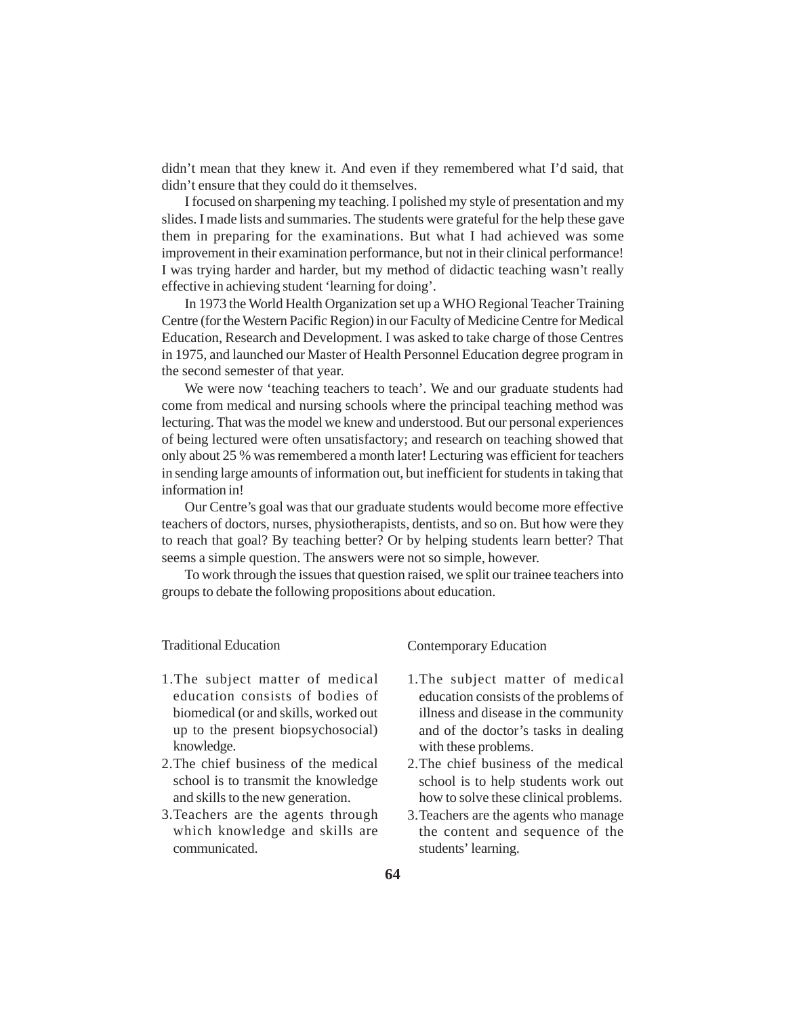didn't mean that they knew it. And even if they remembered what I'd said, that didn't ensure that they could do it themselves.

I focused on sharpening my teaching. I polished my style of presentation and my slides. I made lists and summaries. The students were grateful for the help these gave them in preparing for the examinations. But what I had achieved was some improvement in their examination performance, but not in their clinical performance! I was trying harder and harder, but my method of didactic teaching wasn't really effective in achieving student 'learning for doing'.

In 1973 the World Health Organization set up a WHO Regional Teacher Training Centre (for the Western Pacific Region) in our Faculty of Medicine Centre for Medical Education, Research and Development. I was asked to take charge of those Centres in 1975, and launched our Master of Health Personnel Education degree program in the second semester of that year.

We were now 'teaching teachers to teach'. We and our graduate students had come from medical and nursing schools where the principal teaching method was lecturing. That was the model we knew and understood. But our personal experiences of being lectured were often unsatisfactory; and research on teaching showed that only about 25 % was remembered a month later! Lecturing was efficient for teachers in sending large amounts of information out, but inefficient for students in taking that information in!

Our Centre's goal was that our graduate students would become more effective teachers of doctors, nurses, physiotherapists, dentists, and so on. But how were they to reach that goal? By teaching better? Or by helping students learn better? That seems a simple question. The answers were not so simple, however.

To work through the issues that question raised, we split our trainee teachers into groups to debate the following propositions about education.

#### Traditional Education

- 1.The subject matter of medical education consists of bodies of biomedical (or and skills, worked out up to the present biopsychosocial) knowledge.
- 2.The chief business of the medical school is to transmit the knowledge and skills to the new generation.
- 3.Teachers are the agents through which knowledge and skills are communicated.

#### Contemporary Education

- 1.The subject matter of medical education consists of the problems of illness and disease in the community and of the doctor's tasks in dealing with these problems.
- 2.The chief business of the medical school is to help students work out how to solve these clinical problems.
- 3.Teachers are the agents who manage the content and sequence of the students' learning.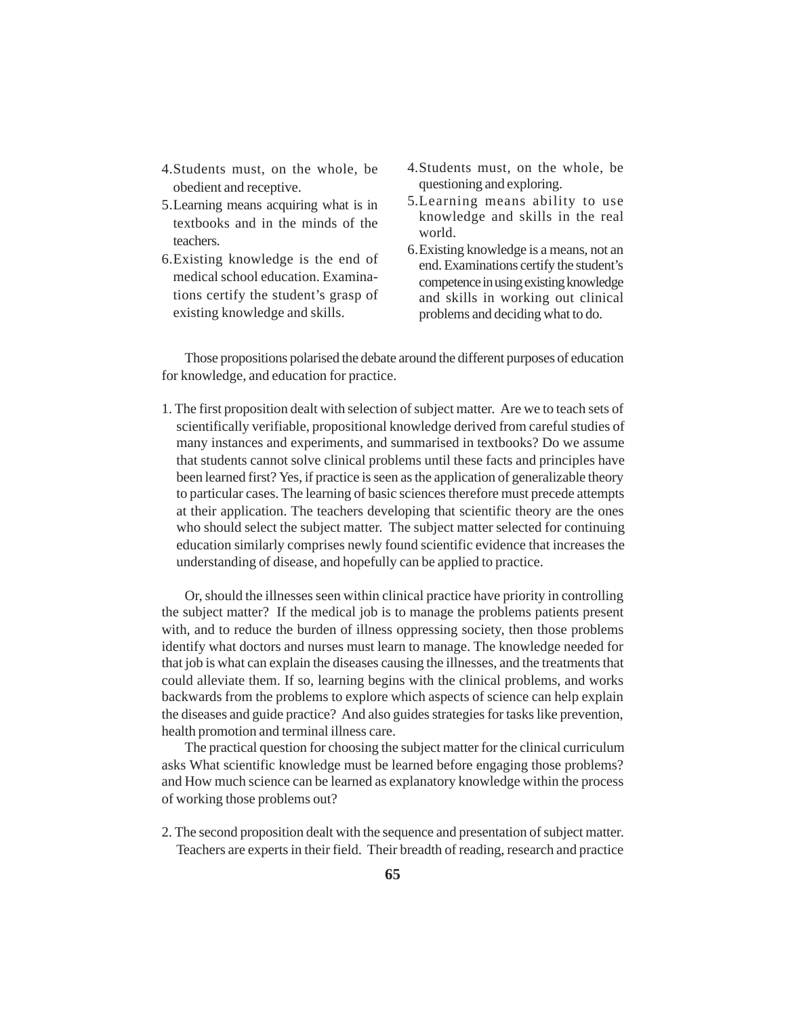- 4.Students must, on the whole, be obedient and receptive.
- 5.Learning means acquiring what is in textbooks and in the minds of the teachers.
- 6.Existing knowledge is the end of medical school education. Examinations certify the student's grasp of existing knowledge and skills.
- 4.Students must, on the whole, be questioning and exploring.
- 5.Learning means ability to use knowledge and skills in the real world.
- 6.Existing knowledge is a means, not an end. Examinations certify the student's competence in using existing knowledge and skills in working out clinical problems and deciding what to do.

Those propositions polarised the debate around the different purposes of education for knowledge, and education for practice.

1. The first proposition dealt with selection of subject matter. Are we to teach sets of scientifically verifiable, propositional knowledge derived from careful studies of many instances and experiments, and summarised in textbooks? Do we assume that students cannot solve clinical problems until these facts and principles have been learned first? Yes, if practice is seen as the application of generalizable theory to particular cases. The learning of basic sciences therefore must precede attempts at their application. The teachers developing that scientific theory are the ones who should select the subject matter. The subject matter selected for continuing education similarly comprises newly found scientific evidence that increases the understanding of disease, and hopefully can be applied to practice.

Or, should the illnesses seen within clinical practice have priority in controlling the subject matter? If the medical job is to manage the problems patients present with, and to reduce the burden of illness oppressing society, then those problems identify what doctors and nurses must learn to manage. The knowledge needed for that job is what can explain the diseases causing the illnesses, and the treatments that could alleviate them. If so, learning begins with the clinical problems, and works backwards from the problems to explore which aspects of science can help explain the diseases and guide practice? And also guides strategies for tasks like prevention, health promotion and terminal illness care.

The practical question for choosing the subject matter for the clinical curriculum asks What scientific knowledge must be learned before engaging those problems? and How much science can be learned as explanatory knowledge within the process of working those problems out?

2. The second proposition dealt with the sequence and presentation of subject matter. Teachers are experts in their field. Their breadth of reading, research and practice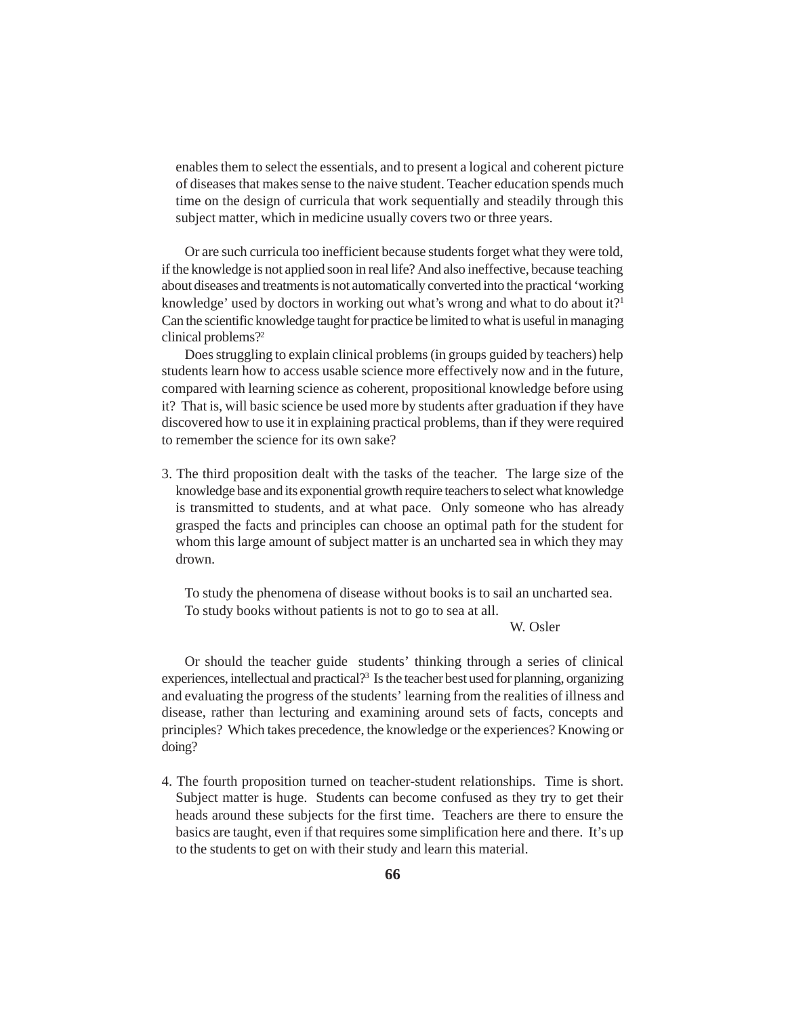enables them to select the essentials, and to present a logical and coherent picture of diseases that makes sense to the naive student. Teacher education spends much time on the design of curricula that work sequentially and steadily through this subject matter, which in medicine usually covers two or three years.

Or are such curricula too inefficient because students forget what they were told, if the knowledge is not applied soon in real life? And also ineffective, because teaching about diseases and treatments is not automatically converted into the practical 'working knowledge' used by doctors in working out what's wrong and what to do about it?<sup>1</sup> Can the scientific knowledge taught for practice be limited to what is useful in managing clinical problems?2

Does struggling to explain clinical problems (in groups guided by teachers) help students learn how to access usable science more effectively now and in the future, compared with learning science as coherent, propositional knowledge before using it? That is, will basic science be used more by students after graduation if they have discovered how to use it in explaining practical problems, than if they were required to remember the science for its own sake?

3. The third proposition dealt with the tasks of the teacher. The large size of the knowledge base and its exponential growth require teachers to select what knowledge is transmitted to students, and at what pace. Only someone who has already grasped the facts and principles can choose an optimal path for the student for whom this large amount of subject matter is an uncharted sea in which they may drown.

To study the phenomena of disease without books is to sail an uncharted sea. To study books without patients is not to go to sea at all.

## W. Osler

Or should the teacher guide students' thinking through a series of clinical experiences, intellectual and practical?<sup>3</sup> Is the teacher best used for planning, organizing and evaluating the progress of the students' learning from the realities of illness and disease, rather than lecturing and examining around sets of facts, concepts and principles? Which takes precedence, the knowledge or the experiences? Knowing or doing?

4. The fourth proposition turned on teacher-student relationships. Time is short. Subject matter is huge. Students can become confused as they try to get their heads around these subjects for the first time. Teachers are there to ensure the basics are taught, even if that requires some simplification here and there. It's up to the students to get on with their study and learn this material.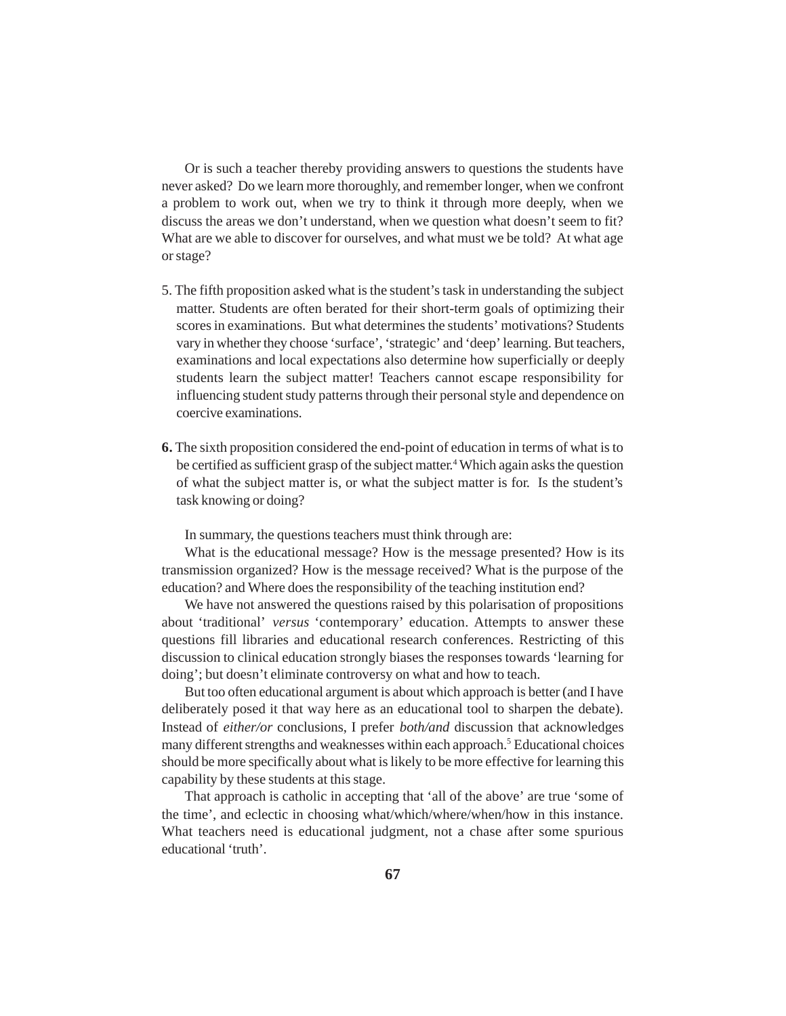Or is such a teacher thereby providing answers to questions the students have never asked? Do we learn more thoroughly, and remember longer, when we confront a problem to work out, when we try to think it through more deeply, when we discuss the areas we don't understand, when we question what doesn't seem to fit? What are we able to discover for ourselves, and what must we be told? At what age or stage?

- 5. The fifth proposition asked what is the student's task in understanding the subject matter. Students are often berated for their short-term goals of optimizing their scores in examinations. But what determines the students' motivations? Students vary in whether they choose 'surface', 'strategic' and 'deep' learning. But teachers, examinations and local expectations also determine how superficially or deeply students learn the subject matter! Teachers cannot escape responsibility for influencing student study patterns through their personal style and dependence on coercive examinations.
- **6.** The sixth proposition considered the end-point of education in terms of what is to be certified as sufficient grasp of the subject matter.<sup>4</sup> Which again asks the question of what the subject matter is, or what the subject matter is for. Is the student's task knowing or doing?

In summary, the questions teachers must think through are:

What is the educational message? How is the message presented? How is its transmission organized? How is the message received? What is the purpose of the education? and Where does the responsibility of the teaching institution end?

We have not answered the questions raised by this polarisation of propositions about 'traditional' *versus* 'contemporary' education. Attempts to answer these questions fill libraries and educational research conferences. Restricting of this discussion to clinical education strongly biases the responses towards 'learning for doing'; but doesn't eliminate controversy on what and how to teach.

But too often educational argument is about which approach is better (and I have deliberately posed it that way here as an educational tool to sharpen the debate). Instead of *either/or* conclusions, I prefer *both/and* discussion that acknowledges many different strengths and weaknesses within each approach.<sup>5</sup> Educational choices should be more specifically about what is likely to be more effective for learning this capability by these students at this stage.

That approach is catholic in accepting that 'all of the above' are true 'some of the time', and eclectic in choosing what/which/where/when/how in this instance. What teachers need is educational judgment, not a chase after some spurious educational 'truth'.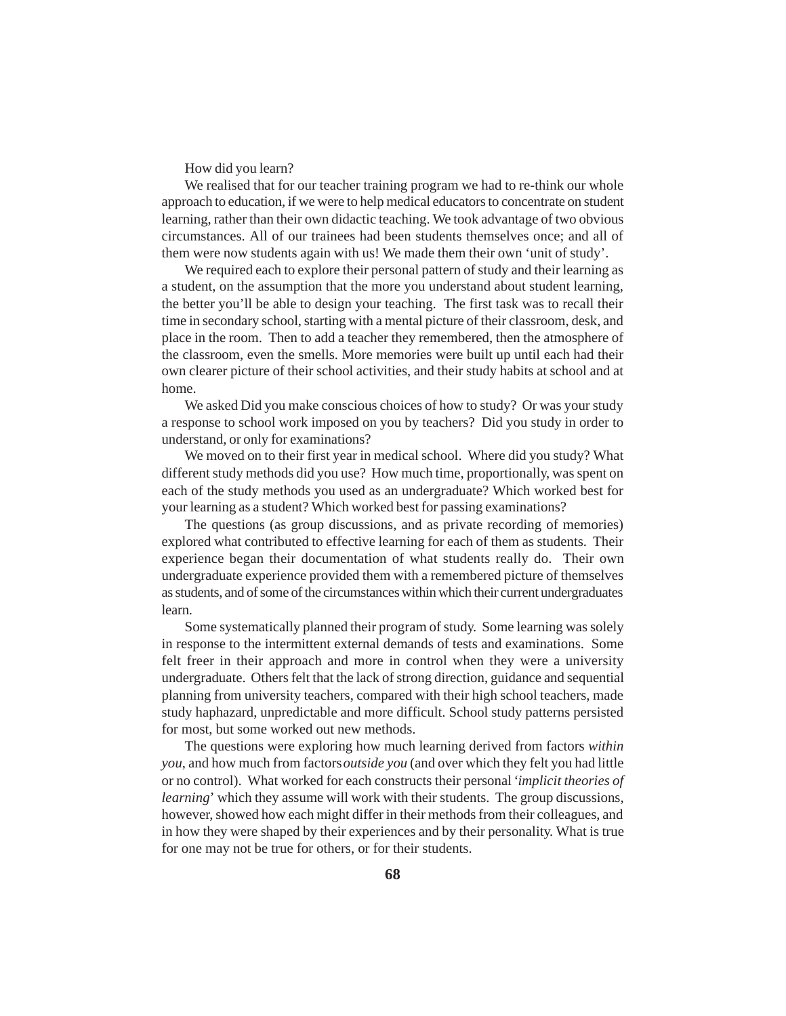How did you learn?

We realised that for our teacher training program we had to re-think our whole approach to education, if we were to help medical educators to concentrate on student learning, rather than their own didactic teaching. We took advantage of two obvious circumstances. All of our trainees had been students themselves once; and all of them were now students again with us! We made them their own 'unit of study'.

We required each to explore their personal pattern of study and their learning as a student, on the assumption that the more you understand about student learning, the better you'll be able to design your teaching. The first task was to recall their time in secondary school, starting with a mental picture of their classroom, desk, and place in the room. Then to add a teacher they remembered, then the atmosphere of the classroom, even the smells. More memories were built up until each had their own clearer picture of their school activities, and their study habits at school and at home.

We asked Did you make conscious choices of how to study? Or was your study a response to school work imposed on you by teachers? Did you study in order to understand, or only for examinations?

We moved on to their first year in medical school. Where did you study? What different study methods did you use? How much time, proportionally, was spent on each of the study methods you used as an undergraduate? Which worked best for your learning as a student? Which worked best for passing examinations?

The questions (as group discussions, and as private recording of memories) explored what contributed to effective learning for each of them as students. Their experience began their documentation of what students really do. Their own undergraduate experience provided them with a remembered picture of themselves as students, and of some of the circumstances within which their current undergraduates learn.

Some systematically planned their program of study. Some learning was solely in response to the intermittent external demands of tests and examinations. Some felt freer in their approach and more in control when they were a university undergraduate. Others felt that the lack of strong direction, guidance and sequential planning from university teachers, compared with their high school teachers, made study haphazard, unpredictable and more difficult. School study patterns persisted for most, but some worked out new methods.

The questions were exploring how much learning derived from factors *within you*, and how much from factors *outside you* (and over which they felt you had little or no control). What worked for each constructs their personal *'implicit theories of learning*' which they assume will work with their students. The group discussions, however, showed how each might differ in their methods from their colleagues, and in how they were shaped by their experiences and by their personality. What is true for one may not be true for others, or for their students.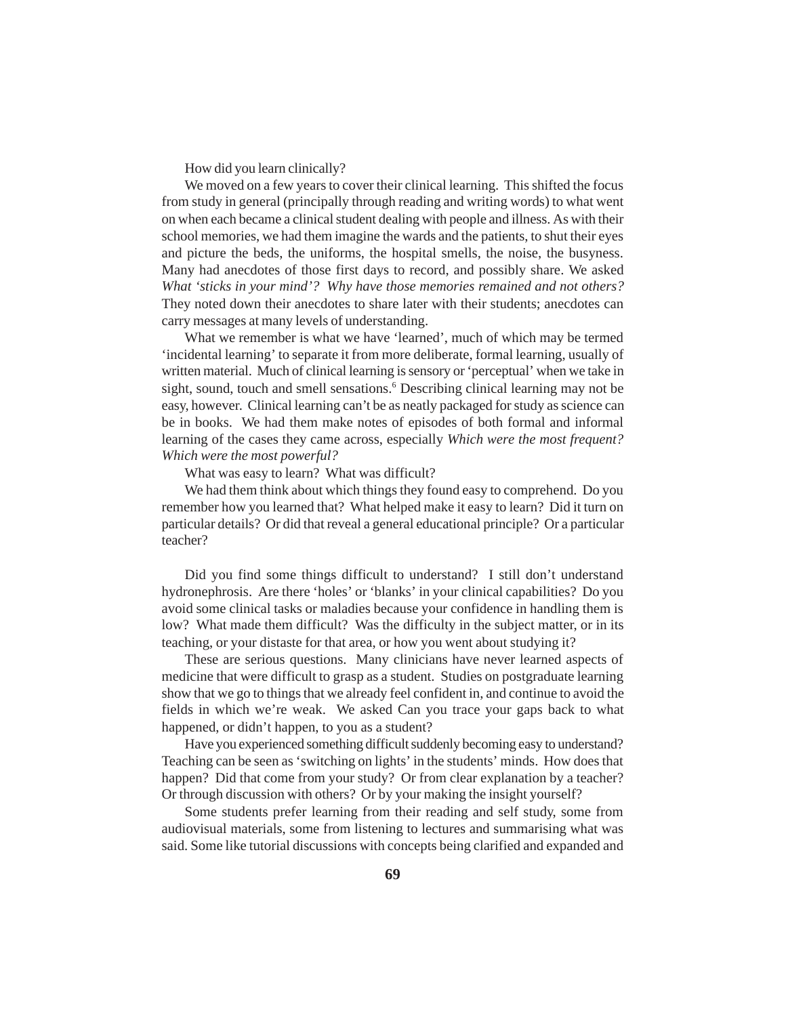How did you learn clinically?

We moved on a few years to cover their clinical learning. This shifted the focus from study in general (principally through reading and writing words) to what went on when each became a clinical student dealing with people and illness. As with their school memories, we had them imagine the wards and the patients, to shut their eyes and picture the beds, the uniforms, the hospital smells, the noise, the busyness. Many had anecdotes of those first days to record, and possibly share. We asked *What 'sticks in your mind'? Why have those memories remained and not others?* They noted down their anecdotes to share later with their students; anecdotes can carry messages at many levels of understanding.

What we remember is what we have 'learned', much of which may be termed 'incidental learning' to separate it from more deliberate, formal learning, usually of written material. Much of clinical learning is sensory or 'perceptual' when we take in sight, sound, touch and smell sensations.<sup>6</sup> Describing clinical learning may not be easy, however. Clinical learning can't be as neatly packaged for study as science can be in books. We had them make notes of episodes of both formal and informal learning of the cases they came across, especially *Which were the most frequent? Which were the most powerful?*

What was easy to learn? What was difficult?

We had them think about which things they found easy to comprehend. Do you remember how you learned that? What helped make it easy to learn? Did it turn on particular details? Or did that reveal a general educational principle? Or a particular teacher?

Did you find some things difficult to understand? I still don't understand hydronephrosis. Are there 'holes' or 'blanks' in your clinical capabilities? Do you avoid some clinical tasks or maladies because your confidence in handling them is low? What made them difficult? Was the difficulty in the subject matter, or in its teaching, or your distaste for that area, or how you went about studying it?

These are serious questions. Many clinicians have never learned aspects of medicine that were difficult to grasp as a student. Studies on postgraduate learning show that we go to things that we already feel confident in, and continue to avoid the fields in which we're weak. We asked Can you trace your gaps back to what happened, or didn't happen, to you as a student?

Have you experienced something difficult suddenly becoming easy to understand? Teaching can be seen as 'switching on lights' in the students' minds. How does that happen? Did that come from your study? Or from clear explanation by a teacher? Or through discussion with others? Or by your making the insight yourself?

Some students prefer learning from their reading and self study, some from audiovisual materials, some from listening to lectures and summarising what was said. Some like tutorial discussions with concepts being clarified and expanded and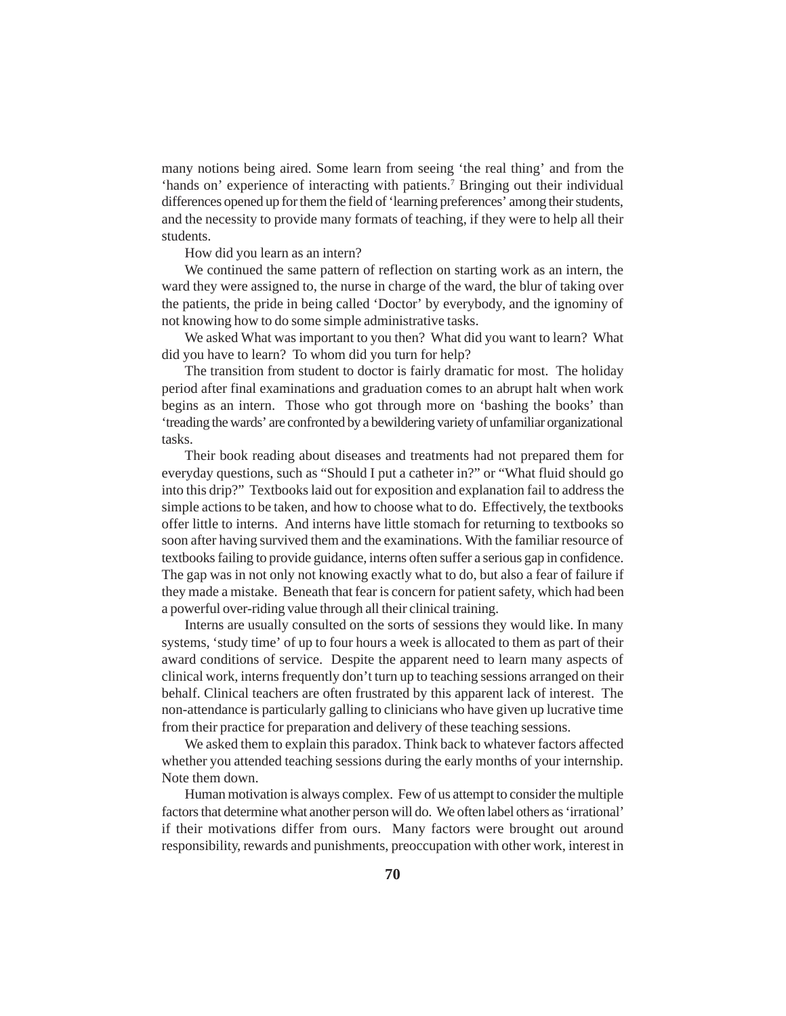many notions being aired. Some learn from seeing 'the real thing' and from the 'hands on' experience of interacting with patients.<sup>7</sup> Bringing out their individual differences opened up for them the field of 'learning preferences' among their students, and the necessity to provide many formats of teaching, if they were to help all their students.

How did you learn as an intern?

We continued the same pattern of reflection on starting work as an intern, the ward they were assigned to, the nurse in charge of the ward, the blur of taking over the patients, the pride in being called 'Doctor' by everybody, and the ignominy of not knowing how to do some simple administrative tasks.

We asked What was important to you then? What did you want to learn? What did you have to learn? To whom did you turn for help?

The transition from student to doctor is fairly dramatic for most. The holiday period after final examinations and graduation comes to an abrupt halt when work begins as an intern. Those who got through more on 'bashing the books' than 'treading the wards' are confronted by a bewildering variety of unfamiliar organizational tasks.

Their book reading about diseases and treatments had not prepared them for everyday questions, such as "Should I put a catheter in?" or "What fluid should go into this drip?" Textbooks laid out for exposition and explanation fail to address the simple actions to be taken, and how to choose what to do. Effectively, the textbooks offer little to interns. And interns have little stomach for returning to textbooks so soon after having survived them and the examinations. With the familiar resource of textbooks failing to provide guidance, interns often suffer a serious gap in confidence. The gap was in not only not knowing exactly what to do, but also a fear of failure if they made a mistake. Beneath that fear is concern for patient safety, which had been a powerful over-riding value through all their clinical training.

Interns are usually consulted on the sorts of sessions they would like. In many systems, 'study time' of up to four hours a week is allocated to them as part of their award conditions of service. Despite the apparent need to learn many aspects of clinical work, interns frequently don't turn up to teaching sessions arranged on their behalf. Clinical teachers are often frustrated by this apparent lack of interest. The non-attendance is particularly galling to clinicians who have given up lucrative time from their practice for preparation and delivery of these teaching sessions.

We asked them to explain this paradox. Think back to whatever factors affected whether you attended teaching sessions during the early months of your internship. Note them down.

Human motivation is always complex. Few of us attempt to consider the multiple factors that determine what another person will do. We often label others as 'irrational' if their motivations differ from ours. Many factors were brought out around responsibility, rewards and punishments, preoccupation with other work, interest in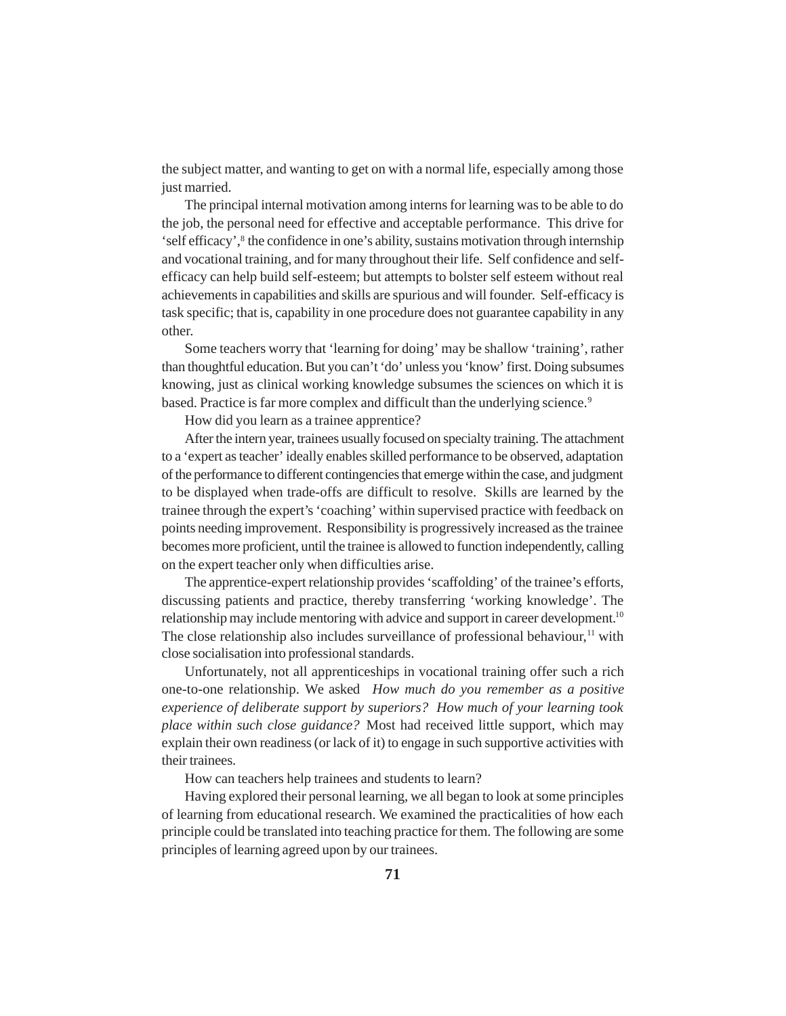the subject matter, and wanting to get on with a normal life, especially among those just married.

The principal internal motivation among interns for learning was to be able to do the job, the personal need for effective and acceptable performance. This drive for 'self efficacy',8 the confidence in one's ability, sustains motivation through internship and vocational training, and for many throughout their life. Self confidence and selfefficacy can help build self-esteem; but attempts to bolster self esteem without real achievements in capabilities and skills are spurious and will founder. Self-efficacy is task specific; that is, capability in one procedure does not guarantee capability in any other.

Some teachers worry that 'learning for doing' may be shallow 'training', rather than thoughtful education. But you can't 'do' unless you 'know' first. Doing subsumes knowing, just as clinical working knowledge subsumes the sciences on which it is based. Practice is far more complex and difficult than the underlying science.<sup>9</sup>

How did you learn as a trainee apprentice?

After the intern year, trainees usually focused on specialty training. The attachment to a 'expert as teacher' ideally enables skilled performance to be observed, adaptation of the performance to different contingencies that emerge within the case, and judgment to be displayed when trade-offs are difficult to resolve. Skills are learned by the trainee through the expert's 'coaching' within supervised practice with feedback on points needing improvement. Responsibility is progressively increased as the trainee becomes more proficient, until the trainee is allowed to function independently, calling on the expert teacher only when difficulties arise.

The apprentice-expert relationship provides 'scaffolding' of the trainee's efforts, discussing patients and practice, thereby transferring 'working knowledge'. The relationship may include mentoring with advice and support in career development.<sup>10</sup> The close relationship also includes surveillance of professional behaviour, $<sup>11</sup>$  with</sup> close socialisation into professional standards.

Unfortunately, not all apprenticeships in vocational training offer such a rich one-to-one relationship. We asked *How much do you remember as a positive experience of deliberate support by superiors? How much of your learning took place within such close guidance?* Most had received little support, which may explain their own readiness (or lack of it) to engage in such supportive activities with their trainees.

How can teachers help trainees and students to learn?

Having explored their personal learning, we all began to look at some principles of learning from educational research. We examined the practicalities of how each principle could be translated into teaching practice for them. The following are some principles of learning agreed upon by our trainees.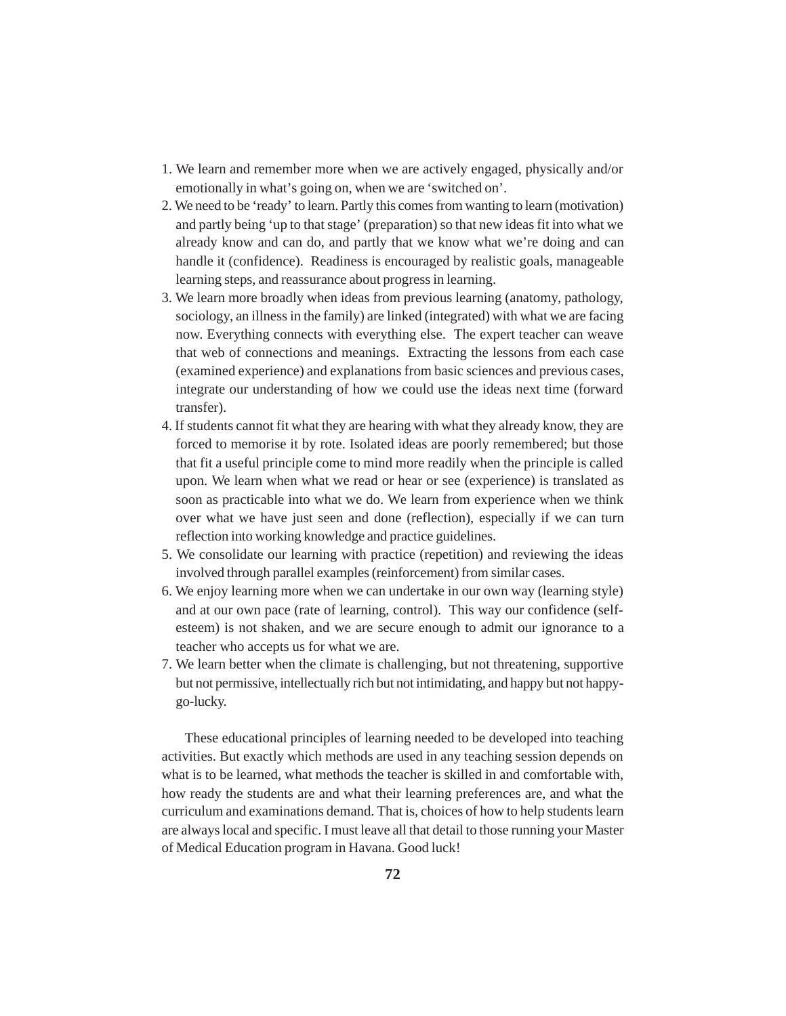- 1. We learn and remember more when we are actively engaged, physically and/or emotionally in what's going on, when we are 'switched on'.
- 2. We need to be 'ready' to learn. Partly this comes from wanting to learn (motivation) and partly being 'up to that stage' (preparation) so that new ideas fit into what we already know and can do, and partly that we know what we're doing and can handle it (confidence). Readiness is encouraged by realistic goals, manageable learning steps, and reassurance about progress in learning.
- 3. We learn more broadly when ideas from previous learning (anatomy, pathology, sociology, an illness in the family) are linked (integrated) with what we are facing now. Everything connects with everything else. The expert teacher can weave that web of connections and meanings. Extracting the lessons from each case (examined experience) and explanations from basic sciences and previous cases, integrate our understanding of how we could use the ideas next time (forward transfer).
- 4. If students cannot fit what they are hearing with what they already know, they are forced to memorise it by rote. Isolated ideas are poorly remembered; but those that fit a useful principle come to mind more readily when the principle is called upon. We learn when what we read or hear or see (experience) is translated as soon as practicable into what we do. We learn from experience when we think over what we have just seen and done (reflection), especially if we can turn reflection into working knowledge and practice guidelines.
- 5. We consolidate our learning with practice (repetition) and reviewing the ideas involved through parallel examples (reinforcement) from similar cases.
- 6. We enjoy learning more when we can undertake in our own way (learning style) and at our own pace (rate of learning, control). This way our confidence (selfesteem) is not shaken, and we are secure enough to admit our ignorance to a teacher who accepts us for what we are.
- 7. We learn better when the climate is challenging, but not threatening, supportive but not permissive, intellectually rich but not intimidating, and happy but not happygo-lucky.

These educational principles of learning needed to be developed into teaching activities. But exactly which methods are used in any teaching session depends on what is to be learned, what methods the teacher is skilled in and comfortable with, how ready the students are and what their learning preferences are, and what the curriculum and examinations demand. That is, choices of how to help students learn are always local and specific. I must leave all that detail to those running your Master of Medical Education program in Havana. Good luck!